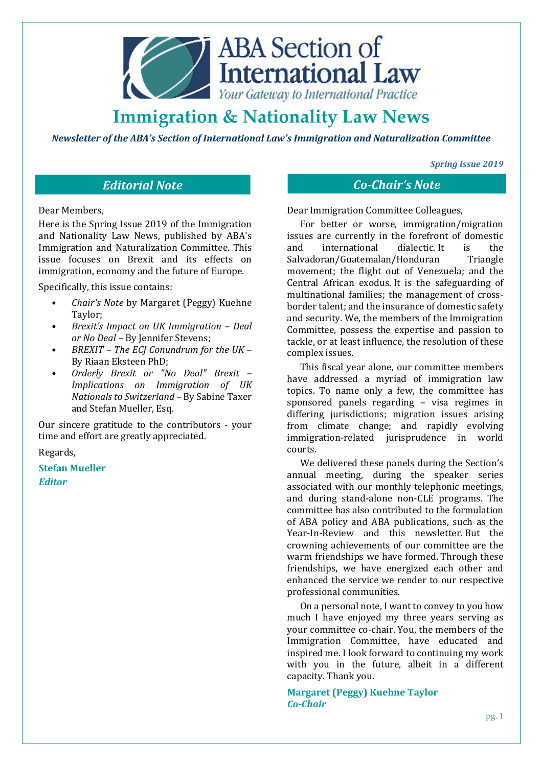

*Newsletter of the ABA's Section of International Law's Immigration and Naturalization Committee* 

*Spring Issue 2019* 

# *Editorial Note Co-Chair's Note*

Dear Members,

Here is the Spring Issue 2019 of the Immigration and Nationality Law News, published by ABA's Immigration and Naturalization Committee. This issue focuses on Brexit and its effects on immigration, economy and the future of Europe.

Specifically, this issue contains:

- *Chair's Note* by Margaret (Peggy) Kuehne Taylor;
- *Brexit's Impact on UK Immigration Deal or No Deal –* By Jennifer Stevens;
- *BREXIT The ECJ Conundrum for the UK*  By Riaan Eksteen PhD;
- *Orderly Brexit or "No Deal" Brexit Implications on Immigration of UK Nationals to Switzerland* – By Sabine Taxer and Stefan Mueller, Esq.

Our sincere gratitude to the contributors - your time and effort are greatly appreciated.

Regards,

**Stefan Mueller** *Editor*

Dear Immigration Committee Colleagues,

For better or worse, immigration/migration issues are currently in the forefront of domestic and international dialectic. It is the Salvadoran/Guatemalan/Honduran Triangle movement; the flight out of Venezuela; and the Central African exodus. It is the safeguarding of multinational families; the management of crossborder talent; and the insurance of domestic safety and security. We, the members of the Immigration Committee, possess the expertise and passion to tackle, or at least influence, the resolution of these complex issues.

This fiscal year alone, our committee members have addressed a myriad of immigration law topics. To name only a few, the committee has sponsored panels regarding – visa regimes in differing jurisdictions; migration issues arising from climate change; and rapidly evolving immigration-related jurisprudence in world courts.

We delivered these panels during the Section's annual meeting, during the speaker series associated with our monthly telephonic meetings, and during stand-alone non-CLE programs. The committee has also contributed to the formulation of ABA policy and ABA publications, such as the Year-In-Review and this newsletter. But the crowning achievements of our committee are the warm friendships we have formed. Through these friendships, we have energized each other and enhanced the service we render to our respective professional communities.

On a personal note, I want to convey to you how much I have enjoyed my three years serving as your committee co-chair. You, the members of the Immigration Committee, have educated and inspired me. I look forward to continuing my work with you in the future, albeit in a different capacity. Thank you.

**Margaret (Peggy) Kuehne Taylor**  *Co-Chair*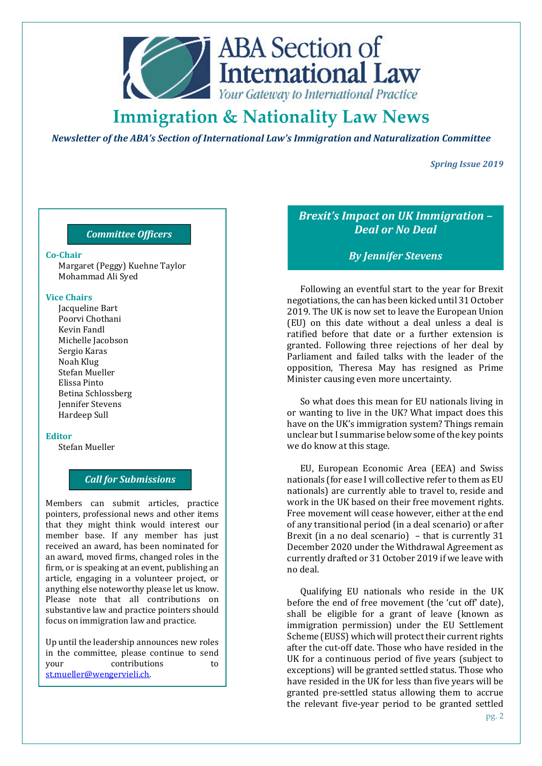

*Newsletter of the ABA's Section of International Law's Immigration and Naturalization Committee* 

*Spring Issue 2019* 

## *Committee Officers*

Margaret (Peggy) Kuehne Taylor Mohammad Ali Syed

#### **Vice Chairs**

Jacqueline Bart Poorvi Chothani Kevin Fandl Michelle Jacobson Sergio Karas Noah Klug Stefan Mueller Elissa Pinto Betina Schlossberg Jennifer Stevens Hardeep Sull

#### **Editor**

Stefan Mueller

### *Call for Submissions*

Members can submit articles, practice pointers, professional news and other items that they might think would interest our member base. If any member has just received an award, has been nominated for an award, moved firms, changed roles in the firm, or is speaking at an event, publishing an article, engaging in a volunteer project, or anything else noteworthy please let us know. Please note that all contributions on substantive law and practice pointers should focus on immigration law and practice.

Up until the leadership announces new roles in the committee, please continue to send your contributions to st.mueller@wengervieli.ch.

*Brexit's Impact on UK Immigration – Deal or No Deal* 

## **Co-Chair** *By Jennifer Stevens*

Following an eventful start to the year for Brexit negotiations, the can has been kicked until 31 October 2019. The UK is now set to leave the European Union (EU) on this date without a deal unless a deal is ratified before that date or a further extension is granted. Following three rejections of her deal by Parliament and failed talks with the leader of the opposition, Theresa May has resigned as Prime Minister causing even more uncertainty.

So what does this mean for EU nationals living in or wanting to live in the UK? What impact does this have on the UK's immigration system? Things remain unclear but I summarise below some of the key points we do know at this stage.

EU, European Economic Area (EEA) and Swiss nationals (for ease I will collective refer to them as EU nationals) are currently able to travel to, reside and work in the UK based on their free movement rights. Free movement will cease however, either at the end of any transitional period (in a deal scenario) or after Brexit (in a no deal scenario) – that is currently 31 December 2020 under the Withdrawal Agreement as currently drafted or 31 October 2019 if we leave with no deal.

Qualifying EU nationals who reside in the UK before the end of free movement (the 'cut off' date), shall be eligible for a grant of leave (known as immigration permission) under the EU Settlement Scheme (EUSS) which will protect their current rights after the cut-off date. Those who have resided in the UK for a continuous period of five years (subject to exceptions) will be granted settled status. Those who have resided in the UK for less than five years will be granted pre-settled status allowing them to accrue the relevant five-year period to be granted settled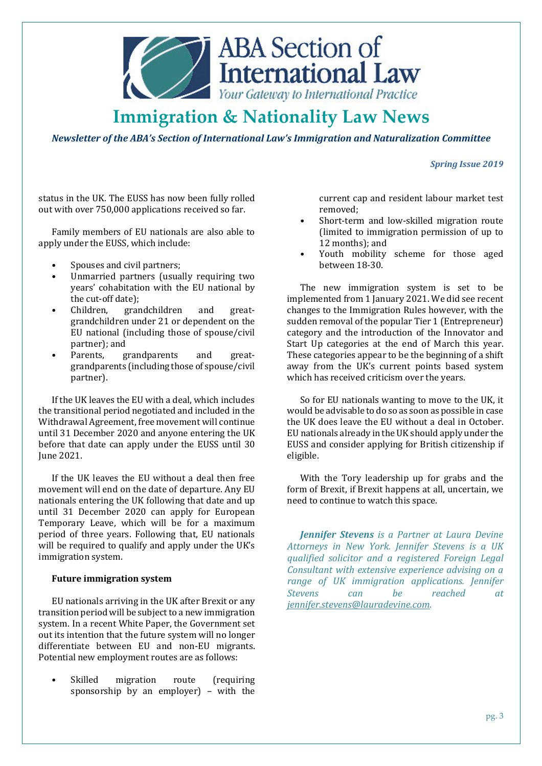

*Newsletter of the ABA's Section of International Law's Immigration and Naturalization Committee* 

*Spring Issue 2019* 

status in the UK. The EUSS has now been fully rolled out with over 750,000 applications received so far.

Family members of EU nationals are also able to apply under the EUSS, which include:

- Spouses and civil partners;
- Unmarried partners (usually requiring two years' cohabitation with the EU national by the cut-off date);
- Children, grandchildren and greatgrandchildren under 21 or dependent on the EU national (including those of spouse/civil partner); and
- Parents, grandparents and greatgrandparents (including those of spouse/civil partner).

If the UK leaves the EU with a deal, which includes the transitional period negotiated and included in the Withdrawal Agreement, free movement will continue until 31 December 2020 and anyone entering the UK before that date can apply under the EUSS until 30 June 2021.

If the UK leaves the EU without a deal then free movement will end on the date of departure. Any EU nationals entering the UK following that date and up until 31 December 2020 can apply for European Temporary Leave, which will be for a maximum period of three years. Following that, EU nationals will be required to qualify and apply under the UK's immigration system.

### **Future immigration system**

EU nationals arriving in the UK after Brexit or any transition period will be subject to a new immigration system. In a recent White Paper, the Government set out its intention that the future system will no longer differentiate between EU and non-EU migrants. Potential new employment routes are as follows:

Skilled migration route (requiring sponsorship by an employer) – with the

current cap and resident labour market test removed;

- Short-term and low-skilled migration route (limited to immigration permission of up to 12 months); and
- Youth mobility scheme for those aged between 18-30.

The new immigration system is set to be implemented from 1 January 2021. We did see recent changes to the Immigration Rules however, with the sudden removal of the popular Tier 1 (Entrepreneur) category and the introduction of the Innovator and Start Up categories at the end of March this year. These categories appear to be the beginning of a shift away from the UK's current points based system which has received criticism over the years.

So for EU nationals wanting to move to the UK, it would be advisable to do so as soon as possible in case the UK does leave the EU without a deal in October. EU nationals already in the UK should apply under the EUSS and consider applying for British citizenship if eligible.

With the Tory leadership up for grabs and the form of Brexit, if Brexit happens at all, uncertain, we need to continue to watch this space.

*Jennifer Stevens is a Partner at Laura Devine Attorneys in New York. Jennifer Stevens is a UK qualified solicitor and a registered Foreign Legal Consultant with extensive experience advising on a range of UK immigration applications. Jennifer Stevens can be reached at jennifer.stevens@lauradevine.com.*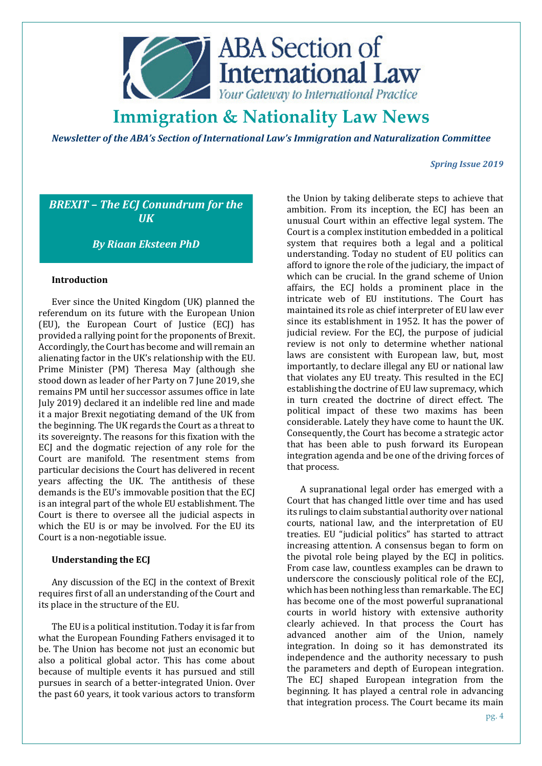

*Newsletter of the ABA's Section of International Law's Immigration and Naturalization Committee* 

#### *Spring Issue 2019*

*BREXIT – The ECJ Conundrum for the UK*

*By Riaan Eksteen PhD* 

### **Introduction**

Ever since the United Kingdom (UK) planned the referendum on its future with the European Union (EU), the European Court of Justice (ECJ) has provided a rallying point for the proponents of Brexit. Accordingly, the Court has become and will remain an alienating factor in the UK's relationship with the EU. Prime Minister (PM) Theresa May (although she stood down as leader of her Party on 7 June 2019, she remains PM until her successor assumes office in late July 2019) declared it an indelible red line and made it a major Brexit negotiating demand of the UK from the beginning. The UK regards the Court as a threat to its sovereignty. The reasons for this fixation with the ECJ and the dogmatic rejection of any role for the Court are manifold. The resentment stems from particular decisions the Court has delivered in recent years affecting the UK. The antithesis of these demands is the EU's immovable position that the ECJ is an integral part of the whole EU establishment. The Court is there to oversee all the judicial aspects in which the EU is or may be involved. For the EU its Court is a non-negotiable issue.

### **Understanding the ECJ**

Any discussion of the ECJ in the context of Brexit requires first of all an understanding of the Court and its place in the structure of the EU.

The EU is a political institution. Today it is far from what the European Founding Fathers envisaged it to be. The Union has become not just an economic but also a political global actor. This has come about because of multiple events it has pursued and still pursues in search of a better-integrated Union. Over the past 60 years, it took various actors to transform the Union by taking deliberate steps to achieve that ambition. From its inception, the ECJ has been an unusual Court within an effective legal system. The Court is a complex institution embedded in a political system that requires both a legal and a political understanding. Today no student of EU politics can afford to ignore the role of the judiciary, the impact of which can be crucial. In the grand scheme of Union affairs, the ECJ holds a prominent place in the intricate web of EU institutions. The Court has maintained its role as chief interpreter of EU law ever since its establishment in 1952. It has the power of judicial review. For the ECJ, the purpose of judicial review is not only to determine whether national laws are consistent with European law, but, most importantly, to declare illegal any EU or national law that violates any EU treaty. This resulted in the ECJ establishing the doctrine of EU law supremacy, which in turn created the doctrine of direct effect. The political impact of these two maxims has been considerable. Lately they have come to haunt the UK. Consequently, the Court has become a strategic actor that has been able to push forward its European integration agenda and be one of the driving forces of that process.

A supranational legal order has emerged with a Court that has changed little over time and has used its rulings to claim substantial authority over national courts, national law, and the interpretation of EU treaties. EU "judicial politics" has started to attract increasing attention. A consensus began to form on the pivotal role being played by the ECJ in politics. From case law, countless examples can be drawn to underscore the consciously political role of the ECJ, which has been nothing less than remarkable. The ECJ has become one of the most powerful supranational courts in world history with extensive authority clearly achieved. In that process the Court has advanced another aim of the Union, namely integration. In doing so it has demonstrated its independence and the authority necessary to push the parameters and depth of European integration. The ECJ shaped European integration from the beginning. It has played a central role in advancing that integration process. The Court became its main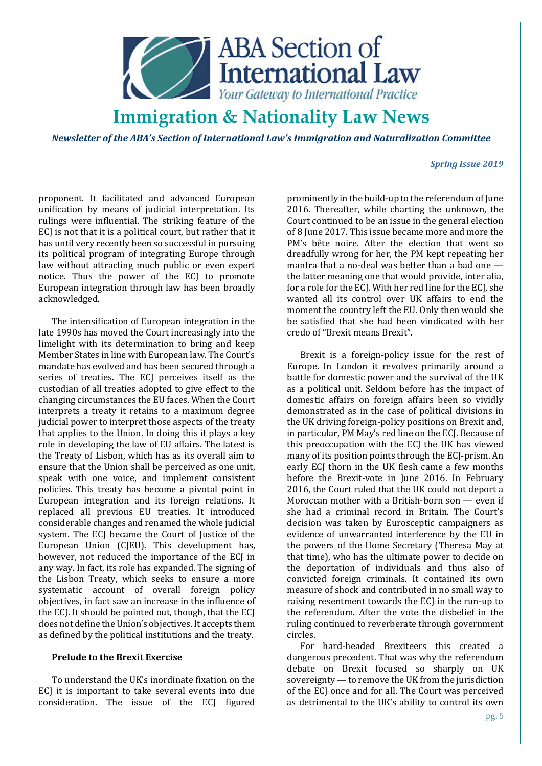

*Newsletter of the ABA's Section of International Law's Immigration and Naturalization Committee* 

#### *Spring Issue 2019*

proponent. It facilitated and advanced European unification by means of judicial interpretation. Its rulings were influential. The striking feature of the ECJ is not that it is a political court, but rather that it has until very recently been so successful in pursuing its political program of integrating Europe through law without attracting much public or even expert notice. Thus the power of the ECJ to promote European integration through law has been broadly acknowledged.

The intensification of European integration in the late 1990s has moved the Court increasingly into the limelight with its determination to bring and keep Member States in line with European law. The Court's mandate has evolved and has been secured through a series of treaties. The ECJ perceives itself as the custodian of all treaties adopted to give effect to the changing circumstances the EU faces. When the Court interprets a treaty it retains to a maximum degree judicial power to interpret those aspects of the treaty that applies to the Union. In doing this it plays a key role in developing the law of EU affairs. The latest is the Treaty of Lisbon, which has as its overall aim to ensure that the Union shall be perceived as one unit, speak with one voice, and implement consistent policies. This treaty has become a pivotal point in European integration and its foreign relations. It replaced all previous EU treaties. It introduced considerable changes and renamed the whole judicial system. The ECJ became the Court of Justice of the European Union (CJEU). This development has, however, not reduced the importance of the ECJ in any way. In fact, its role has expanded. The signing of the Lisbon Treaty, which seeks to ensure a more systematic account of overall foreign policy objectives, in fact saw an increase in the influence of the ECJ. It should be pointed out, though, that the ECJ does not define the Union's objectives. It accepts them as defined by the political institutions and the treaty.

### **Prelude to the Brexit Exercise**

To understand the UK's inordinate fixation on the ECJ it is important to take several events into due consideration. The issue of the ECJ figured prominently in the build-up to the referendum of June 2016. Thereafter, while charting the unknown, the Court continued to be an issue in the general election of 8 June 2017. This issue became more and more the PM's bête noire. After the election that went so dreadfully wrong for her, the PM kept repeating her mantra that a no-deal was better than a bad one the latter meaning one that would provide, inter alia, for a role for the ECJ. With her red line for the ECJ, she wanted all its control over UK affairs to end the moment the country left the EU. Only then would she be satisfied that she had been vindicated with her credo of "Brexit means Brexit".

Brexit is a foreign-policy issue for the rest of Europe. In London it revolves primarily around a battle for domestic power and the survival of the UK as a political unit. Seldom before has the impact of domestic affairs on foreign affairs been so vividly demonstrated as in the case of political divisions in the UK driving foreign-policy positions on Brexit and, in particular, PM May's red line on the ECJ. Because of this preoccupation with the ECJ the UK has viewed many of its position points through the ECJ-prism. An early ECJ thorn in the UK flesh came a few months before the Brexit-vote in June 2016. In February 2016, the Court ruled that the UK could not deport a Moroccan mother with a British-born son — even if she had a criminal record in Britain. The Court's decision was taken by Eurosceptic campaigners as evidence of unwarranted interference by the EU in the powers of the Home Secretary (Theresa May at that time), who has the ultimate power to decide on the deportation of individuals and thus also of convicted foreign criminals. It contained its own measure of shock and contributed in no small way to raising resentment towards the ECJ in the run-up to the referendum. After the vote the disbelief in the ruling continued to reverberate through government circles.

For hard-headed Brexiteers this created a dangerous precedent. That was why the referendum debate on Brexit focused so sharply on UK sovereignty — to remove the UK from the jurisdiction of the ECJ once and for all. The Court was perceived as detrimental to the UK's ability to control its own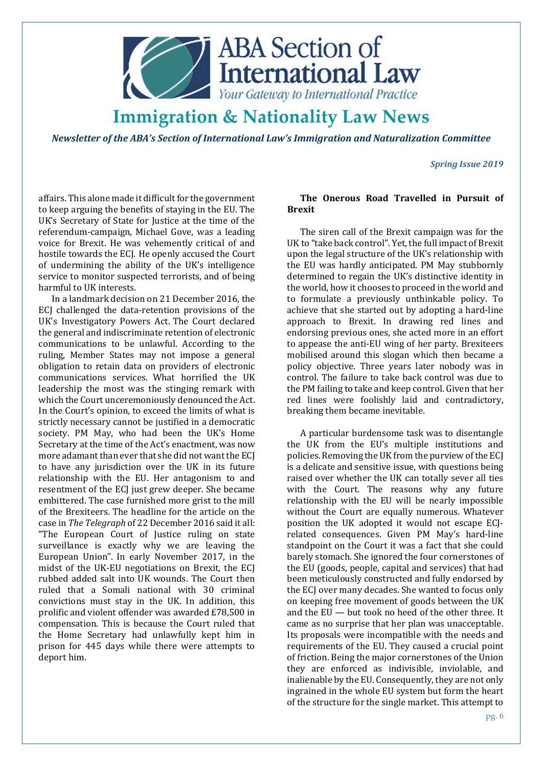

*Newsletter of the ABA's Section of International Law's Immigration and Naturalization Committee* 

*Spring Issue 2019* 

affairs. This alone made it difficult for the government to keep arguing the benefits of staying in the EU. The UK's Secretary of State for Justice at the time of the referendum-campaign, Michael Gove, was a leading voice for Brexit. He was vehemently critical of and hostile towards the ECJ. He openly accused the Court of undermining the ability of the UK's intelligence service to monitor suspected terrorists, and of being harmful to UK interests.

In a landmark decision on 21 December 2016, the ECJ challenged the data-retention provisions of the UK's Investigatory Powers Act. The Court declared the general and indiscriminate retention of electronic communications to be unlawful. According to the ruling, Member States may not impose a general obligation to retain data on providers of electronic communications services. What horrified the UK leadership the most was the stinging remark with which the Court unceremoniously denounced the Act. In the Court's opinion, to exceed the limits of what is strictly necessary cannot be justified in a democratic society. PM May, who had been the UK's Home Secretary at the time of the Act's enactment, was now more adamant than ever that she did not want the ECJ to have any jurisdiction over the UK in its future relationship with the EU. Her antagonism to and resentment of the ECJ just grew deeper. She became embittered. The case furnished more grist to the mill of the Brexiteers. The headline for the article on the case in *The Telegraph* of 22 December 2016 said it all: "The European Court of Justice ruling on state surveillance is exactly why we are leaving the European Union". In early November 2017, in the midst of the UK-EU negotiations on Brexit, the ECJ rubbed added salt into UK wounds. The Court then ruled that a Somali national with 30 criminal convictions must stay in the UK. In addition, this prolific and violent offender was awarded £78,500 in compensation. This is because the Court ruled that the Home Secretary had unlawfully kept him in prison for 445 days while there were attempts to deport him.

### **The Onerous Road Travelled in Pursuit of Brexit**

The siren call of the Brexit campaign was for the UK to "take back control". Yet, the full impact of Brexit upon the legal structure of the UK's relationship with the EU was hardly anticipated. PM May stubbornly determined to regain the UK's distinctive identity in the world, how it chooses to proceed in the world and to formulate a previously unthinkable policy. To achieve that she started out by adopting a hard-line approach to Brexit. In drawing red lines and endorsing previous ones, she acted more in an effort to appease the anti-EU wing of her party. Brexiteers mobilised around this slogan which then became a policy objective. Three years later nobody was in control. The failure to take back control was due to the PM failing to take and keep control. Given that her red lines were foolishly laid and contradictory, breaking them became inevitable.

A particular burdensome task was to disentangle the UK from the EU's multiple institutions and policies. Removing the UK from the purview of the ECJ is a delicate and sensitive issue, with questions being raised over whether the UK can totally sever all ties with the Court. The reasons why any future relationship with the EU will be nearly impossible without the Court are equally numerous. Whatever position the UK adopted it would not escape ECJrelated consequences. Given PM May's hard-line standpoint on the Court it was a fact that she could barely stomach. She ignored the four cornerstones of the EU (goods, people, capital and services) that had been meticulously constructed and fully endorsed by the ECJ over many decades. She wanted to focus only on keeping free movement of goods between the UK and the EU — but took no heed of the other three. It came as no surprise that her plan was unacceptable. Its proposals were incompatible with the needs and requirements of the EU. They caused a crucial point of friction. Being the major cornerstones of the Union they are enforced as indivisible, inviolable, and inalienable by the EU. Consequently, they are not only ingrained in the whole EU system but form the heart of the structure for the single market. This attempt to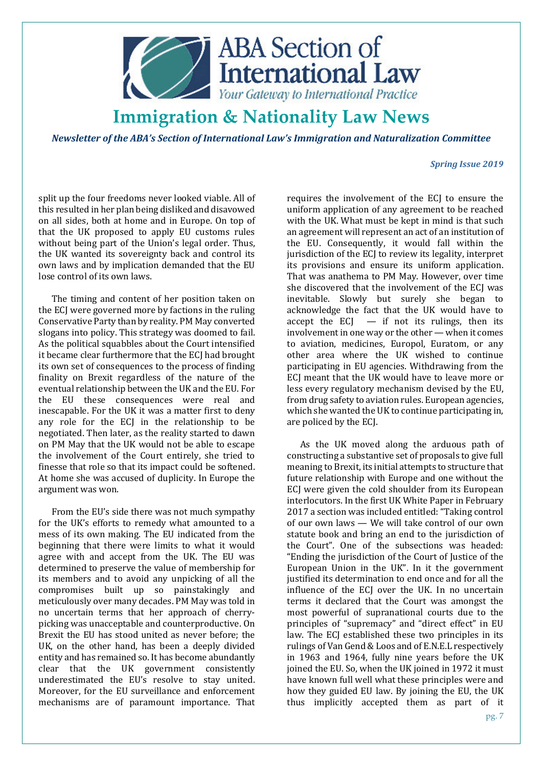

*Newsletter of the ABA's Section of International Law's Immigration and Naturalization Committee* 

#### *Spring Issue 2019*

split up the four freedoms never looked viable. All of this resulted in her plan being disliked and disavowed on all sides, both at home and in Europe. On top of that the UK proposed to apply EU customs rules without being part of the Union's legal order. Thus, the UK wanted its sovereignty back and control its own laws and by implication demanded that the EU lose control of its own laws.

The timing and content of her position taken on the ECJ were governed more by factions in the ruling Conservative Party than by reality. PM May converted slogans into policy. This strategy was doomed to fail. As the political squabbles about the Court intensified it became clear furthermore that the ECJ had brought its own set of consequences to the process of finding finality on Brexit regardless of the nature of the eventual relationship between the UK and the EU. For the EU these consequences were real and inescapable. For the UK it was a matter first to deny any role for the ECJ in the relationship to be negotiated. Then later, as the reality started to dawn on PM May that the UK would not be able to escape the involvement of the Court entirely, she tried to finesse that role so that its impact could be softened. At home she was accused of duplicity. In Europe the argument was won.

From the EU's side there was not much sympathy for the UK's efforts to remedy what amounted to a mess of its own making. The EU indicated from the beginning that there were limits to what it would agree with and accept from the UK. The EU was determined to preserve the value of membership for its members and to avoid any unpicking of all the compromises built up so painstakingly and meticulously over many decades. PM May was told in no uncertain terms that her approach of cherrypicking was unacceptable and counterproductive. On Brexit the EU has stood united as never before; the UK, on the other hand, has been a deeply divided entity and has remained so. It has become abundantly clear that the UK government consistently underestimated the EU's resolve to stay united. Moreover, for the EU surveillance and enforcement mechanisms are of paramount importance. That

requires the involvement of the ECJ to ensure the uniform application of any agreement to be reached with the UK. What must be kept in mind is that such an agreement will represent an act of an institution of the EU. Consequently, it would fall within the jurisdiction of the ECJ to review its legality, interpret its provisions and ensure its uniform application. That was anathema to PM May. However, over time she discovered that the involvement of the ECJ was inevitable. Slowly but surely she began to acknowledge the fact that the UK would have to accept the  $ECI - if$  not its rulings, then its involvement in one way or the other — when it comes to aviation, medicines, Europol, Euratom, or any other area where the UK wished to continue participating in EU agencies. Withdrawing from the ECJ meant that the UK would have to leave more or less every regulatory mechanism devised by the EU, from drug safety to aviation rules. European agencies, which she wanted the UK to continue participating in, are policed by the ECJ.

As the UK moved along the arduous path of constructing a substantive set of proposals to give full meaning to Brexit, its initial attempts to structure that future relationship with Europe and one without the ECJ were given the cold shoulder from its European interlocutors. In the first UK White Paper in February 2017 a section was included entitled: "Taking control of our own laws — We will take control of our own statute book and bring an end to the jurisdiction of the Court". One of the subsections was headed: "Ending the jurisdiction of the Court of Justice of the European Union in the UK". In it the government justified its determination to end once and for all the influence of the ECJ over the UK. In no uncertain terms it declared that the Court was amongst the most powerful of supranational courts due to the principles of "supremacy" and "direct effect" in EU law. The ECJ established these two principles in its rulings of Van Gend & Loos and of E.N.E.L respectively in 1963 and 1964, fully nine years before the UK joined the EU. So, when the UK joined in 1972 it must have known full well what these principles were and how they guided EU law. By joining the EU, the UK thus implicitly accepted them as part of it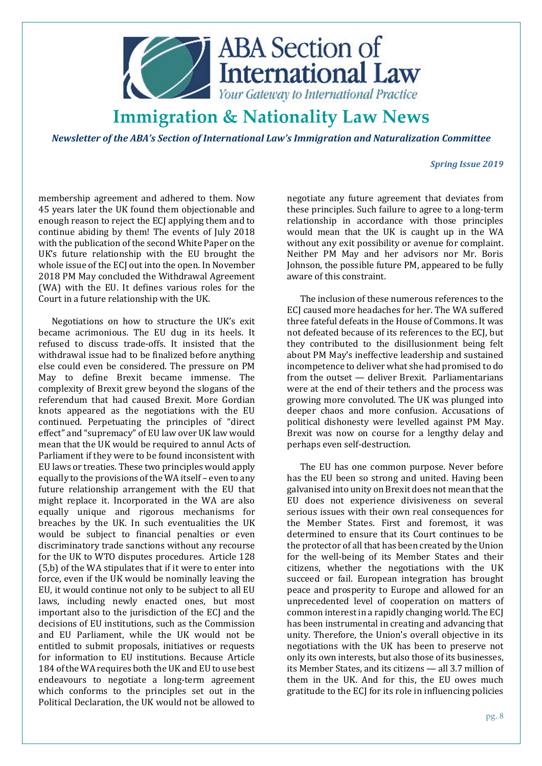

*Newsletter of the ABA's Section of International Law's Immigration and Naturalization Committee* 

#### *Spring Issue 2019*

membership agreement and adhered to them. Now 45 years later the UK found them objectionable and enough reason to reject the ECJ applying them and to continue abiding by them! The events of July 2018 with the publication of the second White Paper on the UK's future relationship with the EU brought the whole issue of the ECJ out into the open. In November 2018 PM May concluded the Withdrawal Agreement (WA) with the EU. It defines various roles for the Court in a future relationship with the UK.

Negotiations on how to structure the UK's exit became acrimonious. The EU dug in its heels. It refused to discuss trade-offs. It insisted that the withdrawal issue had to be finalized before anything else could even be considered. The pressure on PM May to define Brexit became immense. The complexity of Brexit grew beyond the slogans of the referendum that had caused Brexit. More Gordian knots appeared as the negotiations with the EU continued. Perpetuating the principles of "direct effect" and "supremacy" of EU law over UK law would mean that the UK would be required to annul Acts of Parliament if they were to be found inconsistent with EU laws or treaties. These two principles would apply equally to the provisions of the WA itself – even to any future relationship arrangement with the EU that might replace it. Incorporated in the WA are also equally unique and rigorous mechanisms for breaches by the UK. In such eventualities the UK would be subject to financial penalties or even discriminatory trade sanctions without any recourse for the UK to WTO disputes procedures. Article 128 (5,b) of the WA stipulates that if it were to enter into force, even if the UK would be nominally leaving the EU, it would continue not only to be subject to all EU laws, including newly enacted ones, but most important also to the jurisdiction of the ECJ and the decisions of EU institutions, such as the Commission and EU Parliament, while the UK would not be entitled to submit proposals, initiatives or requests for information to EU institutions. Because Article 184 of the WA requires both the UK and EU to use best endeavours to negotiate a long-term agreement which conforms to the principles set out in the Political Declaration, the UK would not be allowed to

negotiate any future agreement that deviates from these principles. Such failure to agree to a long-term relationship in accordance with those principles would mean that the UK is caught up in the WA without any exit possibility or avenue for complaint. Neither PM May and her advisors nor Mr. Boris Johnson, the possible future PM, appeared to be fully aware of this constraint.

The inclusion of these numerous references to the ECJ caused more headaches for her. The WA suffered three fateful defeats in the House of Commons. It was not defeated because of its references to the ECJ, but they contributed to the disillusionment being felt about PM May's ineffective leadership and sustained incompetence to deliver what she had promised to do from the outset — deliver Brexit. Parliamentarians were at the end of their tethers and the process was growing more convoluted. The UK was plunged into deeper chaos and more confusion. Accusations of political dishonesty were levelled against PM May. Brexit was now on course for a lengthy delay and perhaps even self-destruction.

The EU has one common purpose. Never before has the EU been so strong and united. Having been galvanised into unity on Brexit does not mean that the EU does not experience divisiveness on several serious issues with their own real consequences for the Member States. First and foremost, it was determined to ensure that its Court continues to be the protector of all that has been created by the Union for the well-being of its Member States and their citizens, whether the negotiations with the UK succeed or fail. European integration has brought peace and prosperity to Europe and allowed for an unprecedented level of cooperation on matters of common interest in a rapidly changing world. The ECJ has been instrumental in creating and advancing that unity. Therefore, the Union's overall objective in its negotiations with the UK has been to preserve not only its own interests, but also those of its businesses, its Member States, and its citizens — all 3.7 million of them in the UK. And for this, the EU owes much gratitude to the ECJ for its role in influencing policies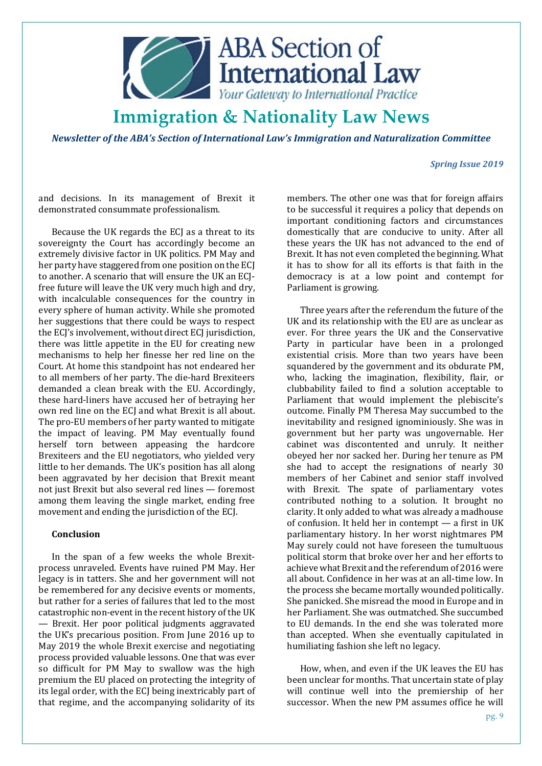

*Newsletter of the ABA's Section of International Law's Immigration and Naturalization Committee* 

#### *Spring Issue 2019*

and decisions. In its management of Brexit it demonstrated consummate professionalism.

Because the UK regards the ECJ as a threat to its sovereignty the Court has accordingly become an extremely divisive factor in UK politics. PM May and her party have staggered from one position on the ECJ to another. A scenario that will ensure the UK an ECJfree future will leave the UK very much high and dry, with incalculable consequences for the country in every sphere of human activity. While she promoted her suggestions that there could be ways to respect the ECJ's involvement, without direct ECJ jurisdiction, there was little appetite in the EU for creating new mechanisms to help her finesse her red line on the Court. At home this standpoint has not endeared her to all members of her party. The die-hard Brexiteers demanded a clean break with the EU. Accordingly, these hard-liners have accused her of betraying her own red line on the ECJ and what Brexit is all about. The pro-EU members of her party wanted to mitigate the impact of leaving. PM May eventually found herself torn between appeasing the hardcore Brexiteers and the EU negotiators, who yielded very little to her demands. The UK's position has all along been aggravated by her decision that Brexit meant not just Brexit but also several red lines — foremost among them leaving the single market, ending free movement and ending the jurisdiction of the ECJ.

### **Conclusion**

In the span of a few weeks the whole Brexitprocess unraveled. Events have ruined PM May. Her legacy is in tatters. She and her government will not be remembered for any decisive events or moments, but rather for a series of failures that led to the most catastrophic non-event in the recent history of the UK — Brexit. Her poor political judgments aggravated the UK's precarious position. From June 2016 up to May 2019 the whole Brexit exercise and negotiating process provided valuable lessons. One that was ever so difficult for PM May to swallow was the high premium the EU placed on protecting the integrity of its legal order, with the ECJ being inextricably part of that regime, and the accompanying solidarity of its

members. The other one was that for foreign affairs to be successful it requires a policy that depends on important conditioning factors and circumstances domestically that are conducive to unity. After all these years the UK has not advanced to the end of Brexit. It has not even completed the beginning. What it has to show for all its efforts is that faith in the democracy is at a low point and contempt for Parliament is growing.

Three years after the referendum the future of the UK and its relationship with the EU are as unclear as ever. For three years the UK and the Conservative Party in particular have been in a prolonged existential crisis. More than two years have been squandered by the government and its obdurate PM, who, lacking the imagination, flexibility, flair, or clubbability failed to find a solution acceptable to Parliament that would implement the plebiscite's outcome. Finally PM Theresa May succumbed to the inevitability and resigned ignominiously. She was in government but her party was ungovernable. Her cabinet was discontented and unruly. It neither obeyed her nor sacked her. During her tenure as PM she had to accept the resignations of nearly 30 members of her Cabinet and senior staff involved with Brexit. The spate of parliamentary votes contributed nothing to a solution. It brought no clarity. It only added to what was already a madhouse of confusion. It held her in contempt — a first in UK parliamentary history. In her worst nightmares PM May surely could not have foreseen the tumultuous political storm that broke over her and her efforts to achieve what Brexit and the referendum of 2016 were all about. Confidence in her was at an all-time low. In the process she became mortally wounded politically. She panicked. She misread the mood in Europe and in her Parliament. She was outmatched. She succumbed to EU demands. In the end she was tolerated more than accepted. When she eventually capitulated in humiliating fashion she left no legacy.

How, when, and even if the UK leaves the EU has been unclear for months. That uncertain state of play will continue well into the premiership of her successor. When the new PM assumes office he will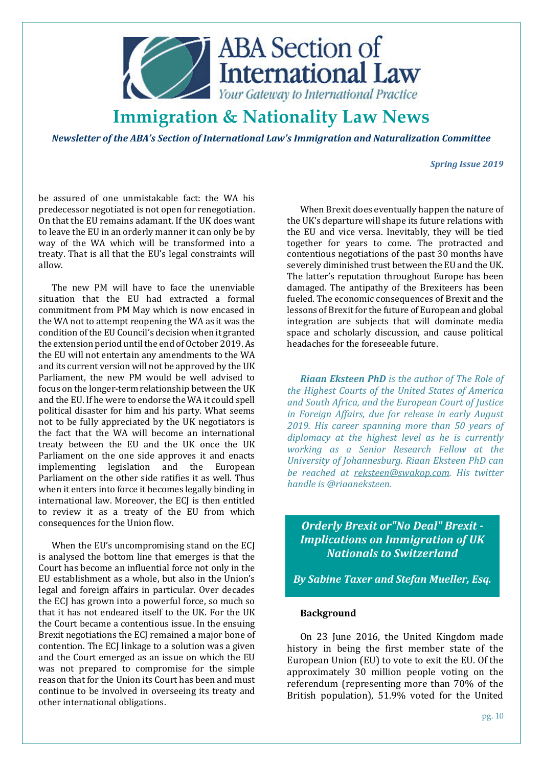

*Newsletter of the ABA's Section of International Law's Immigration and Naturalization Committee* 

#### *Spring Issue 2019*

be assured of one unmistakable fact: the WA his predecessor negotiated is not open for renegotiation. On that the EU remains adamant. If the UK does want to leave the EU in an orderly manner it can only be by way of the WA which will be transformed into a treaty. That is all that the EU's legal constraints will allow.

The new PM will have to face the unenviable situation that the EU had extracted a formal commitment from PM May which is now encased in the WA not to attempt reopening the WA as it was the condition of the EU Council's decision when it granted the extension period until the end of October 2019. As the EU will not entertain any amendments to the WA and its current version will not be approved by the UK Parliament, the new PM would be well advised to focus on the longer-term relationship between the UK and the EU. If he were to endorse the WA it could spell political disaster for him and his party. What seems not to be fully appreciated by the UK negotiators is the fact that the WA will become an international treaty between the EU and the UK once the UK Parliament on the one side approves it and enacts implementing legislation and the European Parliament on the other side ratifies it as well. Thus when it enters into force it becomes legally binding in international law. Moreover, the ECJ is then entitled to review it as a treaty of the EU from which consequences for the Union flow.

When the EU's uncompromising stand on the ECJ is analysed the bottom line that emerges is that the Court has become an influential force not only in the EU establishment as a whole, but also in the Union's legal and foreign affairs in particular. Over decades the ECJ has grown into a powerful force, so much so that it has not endeared itself to the UK. For the UK the Court became a contentious issue. In the ensuing Brexit negotiations the ECJ remained a major bone of contention. The ECJ linkage to a solution was a given and the Court emerged as an issue on which the EU was not prepared to compromise for the simple reason that for the Union its Court has been and must continue to be involved in overseeing its treaty and other international obligations.

When Brexit does eventually happen the nature of the UK's departure will shape its future relations with the EU and vice versa. Inevitably, they will be tied together for years to come. The protracted and contentious negotiations of the past 30 months have severely diminished trust between the EU and the UK. The latter's reputation throughout Europe has been damaged. The antipathy of the Brexiteers has been fueled. The economic consequences of Brexit and the lessons of Brexit for the future of European and global integration are subjects that will dominate media space and scholarly discussion, and cause political headaches for the foreseeable future.

*Riaan Eksteen PhD is the author of The Role of the Highest Courts of the United States of America and South Africa, and the European Court of Justice in Foreign Affairs, due for release in early August 2019. His career spanning more than 50 years of diplomacy at the highest level as he is currently working as a Senior Research Fellow at the University of Johannesburg. Riaan Eksteen PhD can be reached at reksteen@swakop.com. His twitter handle is @riaaneksteen.* 

*Orderly Brexit or"No Deal" Brexit - Implications on Immigration of UK Nationals to Switzerland*

*By Sabine Taxer and Stefan Mueller, Esq.* 

### **Background**

On 23 June 2016, the United Kingdom made history in being the first member state of the European Union (EU) to vote to exit the EU. Of the approximately 30 million people voting on the referendum (representing more than 70% of the British population), 51.9% voted for the United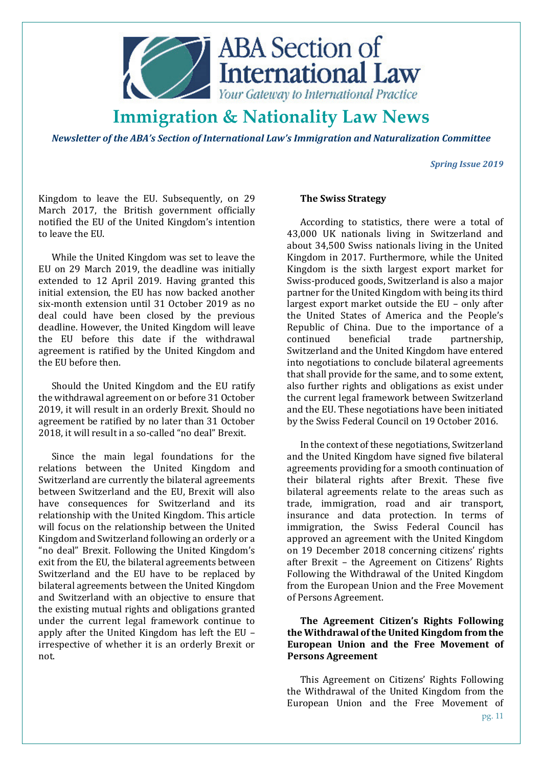

*Newsletter of the ABA's Section of International Law's Immigration and Naturalization Committee* 

*Spring Issue 2019* 

Kingdom to leave the EU. Subsequently, on 29 March 2017, the British government officially notified the EU of the United Kingdom's intention to leave the EU.

While the United Kingdom was set to leave the EU on 29 March 2019, the deadline was initially extended to 12 April 2019. Having granted this initial extension, the EU has now backed another six-month extension until 31 October 2019 as no deal could have been closed by the previous deadline. However, the United Kingdom will leave the EU before this date if the withdrawal agreement is ratified by the United Kingdom and the EU before then.

Should the United Kingdom and the EU ratify the withdrawal agreement on or before 31 October 2019, it will result in an orderly Brexit. Should no agreement be ratified by no later than 31 October 2018, it will result in a so-called "no deal" Brexit.

Since the main legal foundations for the relations between the United Kingdom and Switzerland are currently the bilateral agreements between Switzerland and the EU, Brexit will also have consequences for Switzerland and its relationship with the United Kingdom. This article will focus on the relationship between the United Kingdom and Switzerland following an orderly or a "no deal" Brexit. Following the United Kingdom's exit from the EU, the bilateral agreements between Switzerland and the EU have to be replaced by bilateral agreements between the United Kingdom and Switzerland with an objective to ensure that the existing mutual rights and obligations granted under the current legal framework continue to apply after the United Kingdom has left the EU – irrespective of whether it is an orderly Brexit or not.

### **The Swiss Strategy**

According to statistics, there were a total of 43,000 UK nationals living in Switzerland and about 34,500 Swiss nationals living in the United Kingdom in 2017. Furthermore, while the United Kingdom is the sixth largest export market for Swiss-produced goods, Switzerland is also a major partner for the United Kingdom with being its third largest export market outside the EU – only after the United States of America and the People's Republic of China. Due to the importance of a continued beneficial trade partnership, Switzerland and the United Kingdom have entered into negotiations to conclude bilateral agreements that shall provide for the same, and to some extent, also further rights and obligations as exist under the current legal framework between Switzerland and the EU. These negotiations have been initiated by the Swiss Federal Council on 19 October 2016.

In the context of these negotiations, Switzerland and the United Kingdom have signed five bilateral agreements providing for a smooth continuation of their bilateral rights after Brexit. These five bilateral agreements relate to the areas such as trade, immigration, road and air transport, insurance and data protection. In terms of immigration, the Swiss Federal Council has approved an agreement with the United Kingdom on 19 December 2018 concerning citizens' rights after Brexit – the Agreement on Citizens' Rights Following the Withdrawal of the United Kingdom from the European Union and the Free Movement of Persons Agreement.

## **The Agreement Citizen's Rights Following the Withdrawal of the United Kingdom from the European Union and the Free Movement of Persons Agreement**

This Agreement on Citizens' Rights Following the Withdrawal of the United Kingdom from the European Union and the Free Movement of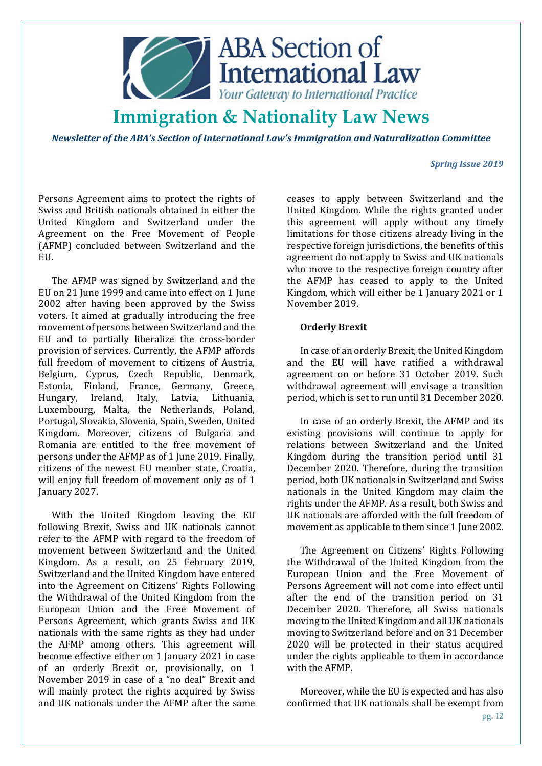

*Newsletter of the ABA's Section of International Law's Immigration and Naturalization Committee* 

### *Spring Issue 2019*

Persons Agreement aims to protect the rights of Swiss and British nationals obtained in either the United Kingdom and Switzerland under the Agreement on the Free Movement of People (AFMP) concluded between Switzerland and the EU.

The AFMP was signed by Switzerland and the EU on 21 June 1999 and came into effect on 1 June 2002 after having been approved by the Swiss voters. It aimed at gradually introducing the free movement of persons between Switzerland and the EU and to partially liberalize the cross-border provision of services. Currently, the AFMP affords full freedom of movement to citizens of Austria, Belgium, Cyprus, Czech Republic, Denmark, Estonia, Finland, France, Germany, Greece, Hungary, Ireland, Italy, Latvia, Lithuania, Luxembourg, Malta, the Netherlands, Poland, Portugal, Slovakia, Slovenia, Spain, Sweden, United Kingdom. Moreover, citizens of Bulgaria and Romania are entitled to the free movement of persons under the AFMP as of 1 June 2019. Finally, citizens of the newest EU member state, Croatia, will enjoy full freedom of movement only as of 1 January 2027.

With the United Kingdom leaving the EU following Brexit, Swiss and UK nationals cannot refer to the AFMP with regard to the freedom of movement between Switzerland and the United Kingdom. As a result, on 25 February 2019, Switzerland and the United Kingdom have entered into the Agreement on Citizens' Rights Following the Withdrawal of the United Kingdom from the European Union and the Free Movement of Persons Agreement, which grants Swiss and UK nationals with the same rights as they had under the AFMP among others. This agreement will become effective either on 1 January 2021 in case of an orderly Brexit or, provisionally, on 1 November 2019 in case of a "no deal" Brexit and will mainly protect the rights acquired by Swiss and UK nationals under the AFMP after the same

ceases to apply between Switzerland and the United Kingdom. While the rights granted under this agreement will apply without any timely limitations for those citizens already living in the respective foreign jurisdictions, the benefits of this agreement do not apply to Swiss and UK nationals who move to the respective foreign country after the AFMP has ceased to apply to the United Kingdom, which will either be 1 January 2021 or 1 November 2019.

### **Orderly Brexit**

In case of an orderly Brexit, the United Kingdom and the EU will have ratified a withdrawal agreement on or before 31 October 2019. Such withdrawal agreement will envisage a transition period, which is set to run until 31 December 2020.

In case of an orderly Brexit, the AFMP and its existing provisions will continue to apply for relations between Switzerland and the United Kingdom during the transition period until 31 December 2020. Therefore, during the transition period, both UK nationals in Switzerland and Swiss nationals in the United Kingdom may claim the rights under the AFMP. As a result, both Swiss and UK nationals are afforded with the full freedom of movement as applicable to them since 1 June 2002.

The Agreement on Citizens' Rights Following the Withdrawal of the United Kingdom from the European Union and the Free Movement of Persons Agreement will not come into effect until after the end of the transition period on 31 December 2020. Therefore, all Swiss nationals moving to the United Kingdom and all UK nationals moving to Switzerland before and on 31 December 2020 will be protected in their status acquired under the rights applicable to them in accordance with the AFMP.

Moreover, while the EU is expected and has also confirmed that UK nationals shall be exempt from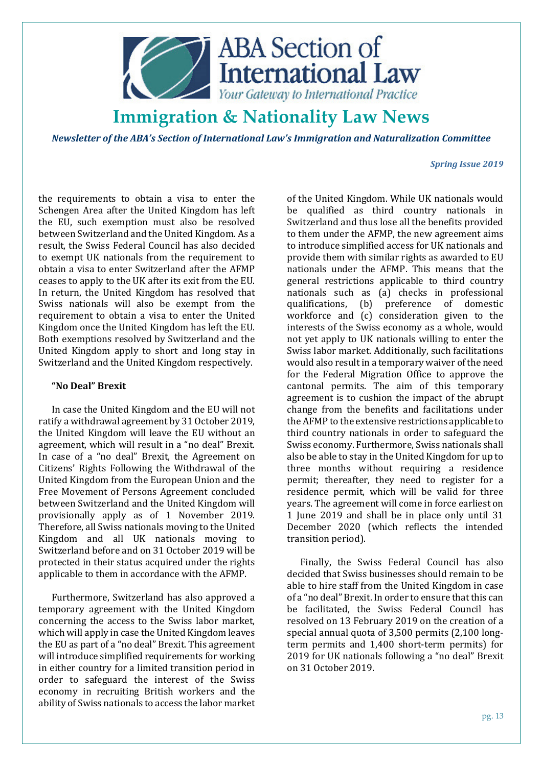

*Newsletter of the ABA's Section of International Law's Immigration and Naturalization Committee* 

### *Spring Issue 2019*

the requirements to obtain a visa to enter the Schengen Area after the United Kingdom has left the EU, such exemption must also be resolved between Switzerland and the United Kingdom. As a result, the Swiss Federal Council has also decided to exempt UK nationals from the requirement to obtain a visa to enter Switzerland after the AFMP ceases to apply to the UK after its exit from the EU. In return, the United Kingdom has resolved that Swiss nationals will also be exempt from the requirement to obtain a visa to enter the United Kingdom once the United Kingdom has left the EU. Both exemptions resolved by Switzerland and the United Kingdom apply to short and long stay in Switzerland and the United Kingdom respectively.

### **"No Deal" Brexit**

In case the United Kingdom and the EU will not ratify a withdrawal agreement by 31 October 2019, the United Kingdom will leave the EU without an agreement, which will result in a "no deal" Brexit. In case of a "no deal" Brexit, the Agreement on Citizens' Rights Following the Withdrawal of the United Kingdom from the European Union and the Free Movement of Persons Agreement concluded between Switzerland and the United Kingdom will provisionally apply as of 1 November 2019. Therefore, all Swiss nationals moving to the United Kingdom and all UK nationals moving to Switzerland before and on 31 October 2019 will be protected in their status acquired under the rights applicable to them in accordance with the AFMP.

Furthermore, Switzerland has also approved a temporary agreement with the United Kingdom concerning the access to the Swiss labor market, which will apply in case the United Kingdom leaves the EU as part of a "no deal" Brexit. This agreement will introduce simplified requirements for working in either country for a limited transition period in order to safeguard the interest of the Swiss economy in recruiting British workers and the ability of Swiss nationals to access the labor market

of the United Kingdom. While UK nationals would be qualified as third country nationals in Switzerland and thus lose all the benefits provided to them under the AFMP, the new agreement aims to introduce simplified access for UK nationals and provide them with similar rights as awarded to EU nationals under the AFMP. This means that the general restrictions applicable to third country nationals such as (a) checks in professional qualifications, (b) preference of domestic workforce and (c) consideration given to the interests of the Swiss economy as a whole, would not yet apply to UK nationals willing to enter the Swiss labor market. Additionally, such facilitations would also result in a temporary waiver of the need for the Federal Migration Office to approve the cantonal permits. The aim of this temporary agreement is to cushion the impact of the abrupt change from the benefits and facilitations under the AFMP to the extensive restrictions applicable to third country nationals in order to safeguard the Swiss economy. Furthermore, Swiss nationals shall also be able to stay in the United Kingdom for up to three months without requiring a residence permit; thereafter, they need to register for a residence permit, which will be valid for three years. The agreement will come in force earliest on 1 June 2019 and shall be in place only until 31 December 2020 (which reflects the intended transition period).

Finally, the Swiss Federal Council has also decided that Swiss businesses should remain to be able to hire staff from the United Kingdom in case of a "no deal" Brexit. In order to ensure that this can be facilitated, the Swiss Federal Council has resolved on 13 February 2019 on the creation of a special annual quota of 3,500 permits (2,100 longterm permits and 1,400 short-term permits) for 2019 for UK nationals following a "no deal" Brexit on 31 October 2019.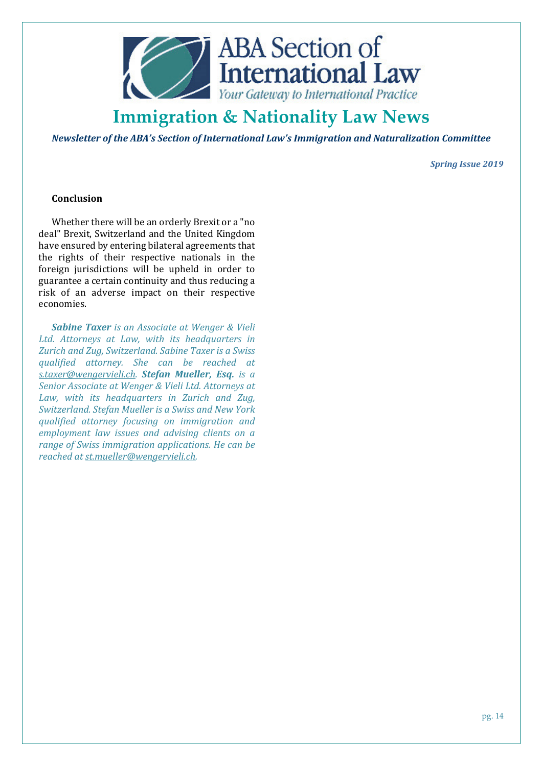

*Newsletter of the ABA's Section of International Law's Immigration and Naturalization Committee* 

*Spring Issue 2019* 

### **Conclusion**

Whether there will be an orderly Brexit or a "no deal" Brexit, Switzerland and the United Kingdom have ensured by entering bilateral agreements that the rights of their respective nationals in the foreign jurisdictions will be upheld in order to guarantee a certain continuity and thus reducing a risk of an adverse impact on their respective economies.

*Sabine Taxer is an Associate at Wenger & Vieli Ltd. Attorneys at Law, with its headquarters in Zurich and Zug, Switzerland. Sabine Taxer is a Swiss qualified attorney. She can be reached at s.taxer@wengervieli.ch. Stefan Mueller, Esq. is a Senior Associate at Wenger & Vieli Ltd. Attorneys at Law, with its headquarters in Zurich and Zug, Switzerland. Stefan Mueller is a Swiss and New York qualified attorney focusing on immigration and employment law issues and advising clients on a range of Swiss immigration applications. He can be reached at st.mueller@wengervieli.ch.*